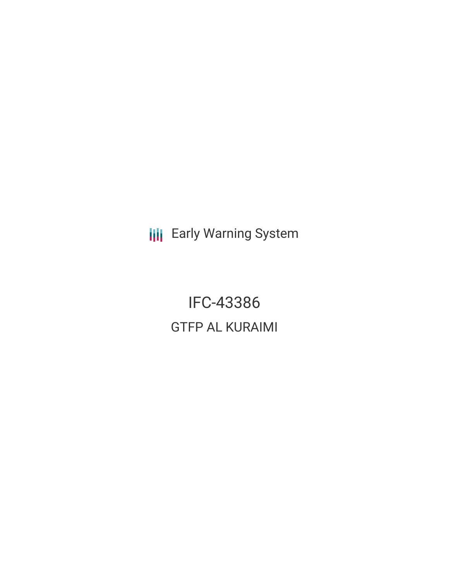**III** Early Warning System

IFC-43386 GTFP AL KURAIMI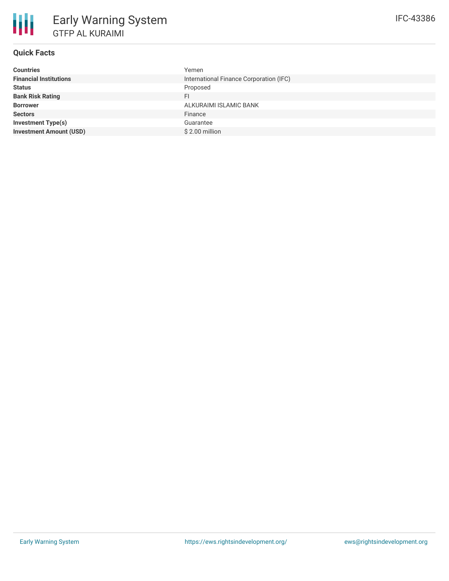### **Quick Facts**

冊

| <b>Countries</b>               | Yemen                                   |
|--------------------------------|-----------------------------------------|
| <b>Financial Institutions</b>  | International Finance Corporation (IFC) |
| <b>Status</b>                  | Proposed                                |
| <b>Bank Risk Rating</b>        | FI                                      |
| <b>Borrower</b>                | ALKURAIMI ISLAMIC BANK                  |
| <b>Sectors</b>                 | Finance                                 |
| Investment Type(s)             | Guarantee                               |
| <b>Investment Amount (USD)</b> | $$2.00$ million                         |
|                                |                                         |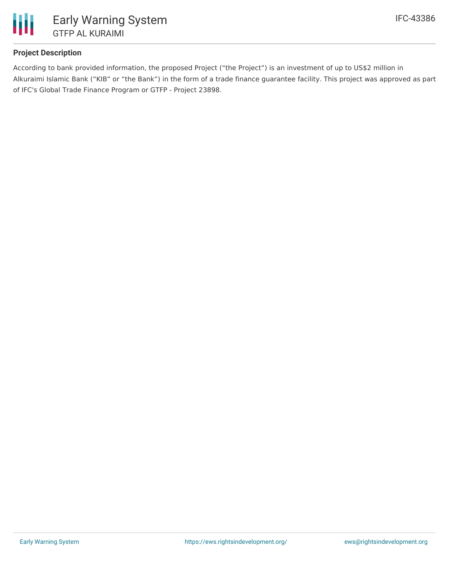

## **Project Description**

According to bank provided information, the proposed Project ("the Project") is an investment of up to US\$2 million in Alkuraimi Islamic Bank ("KIB" or "the Bank") in the form of a trade finance guarantee facility. This project was approved as part of IFC's Global Trade Finance Program or GTFP - Project 23898.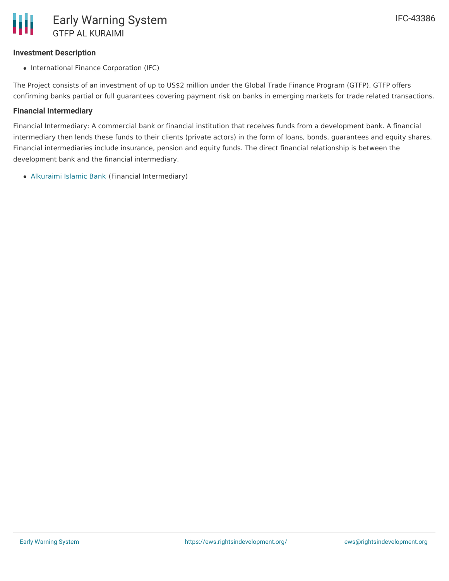### **Investment Description**

• International Finance Corporation (IFC)

The Project consists of an investment of up to US\$2 million under the Global Trade Finance Program (GTFP). GTFP offers confirming banks partial or full guarantees covering payment risk on banks in emerging markets for trade related transactions.

#### **Financial Intermediary**

Financial Intermediary: A commercial bank or financial institution that receives funds from a development bank. A financial intermediary then lends these funds to their clients (private actors) in the form of loans, bonds, guarantees and equity shares. Financial intermediaries include insurance, pension and equity funds. The direct financial relationship is between the development bank and the financial intermediary.

[Alkuraimi](file:///actor/3208/) Islamic Bank (Financial Intermediary)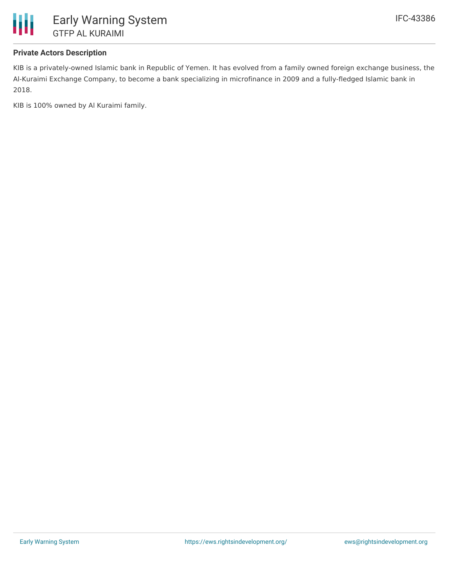

### **Private Actors Description**

KIB is a privately-owned Islamic bank in Republic of Yemen. It has evolved from a family owned foreign exchange business, the Al-Kuraimi Exchange Company, to become a bank specializing in microfinance in 2009 and a fully-fledged Islamic bank in 2018.

KIB is 100% owned by Al Kuraimi family.